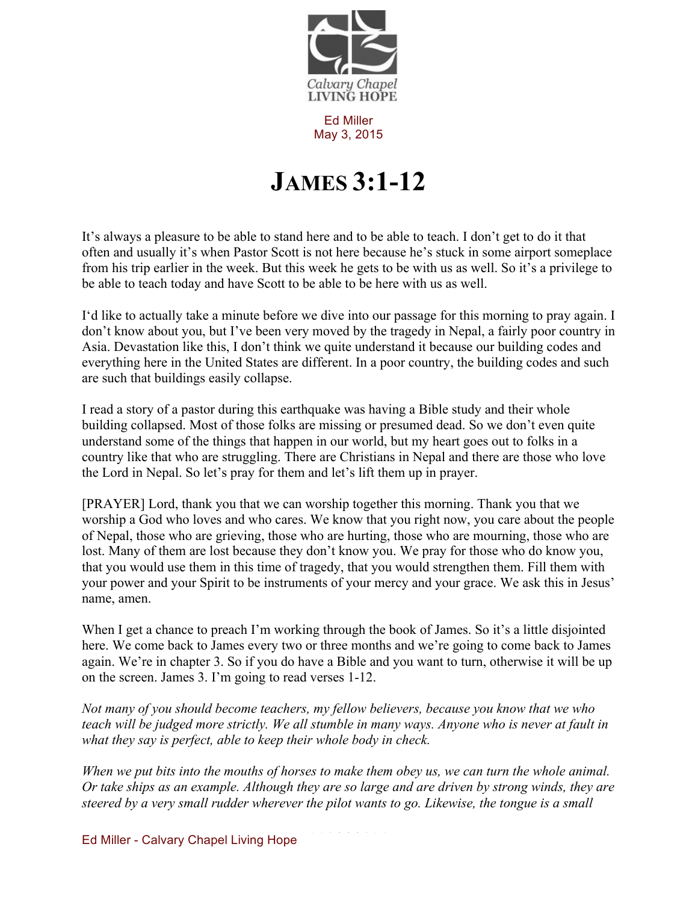

Ed Miller May 3, 2015

## **JAMES 3:1-12**

It's always a pleasure to be able to stand here and to be able to teach. I don't get to do it that often and usually it's when Pastor Scott is not here because he's stuck in some airport someplace from his trip earlier in the week. But this week he gets to be with us as well. So it's a privilege to be able to teach today and have Scott to be able to be here with us as well.

I'd like to actually take a minute before we dive into our passage for this morning to pray again. I don't know about you, but I've been very moved by the tragedy in Nepal, a fairly poor country in Asia. Devastation like this, I don't think we quite understand it because our building codes and everything here in the United States are different. In a poor country, the building codes and such are such that buildings easily collapse.

I read a story of a pastor during this earthquake was having a Bible study and their whole building collapsed. Most of those folks are missing or presumed dead. So we don't even quite understand some of the things that happen in our world, but my heart goes out to folks in a country like that who are struggling. There are Christians in Nepal and there are those who love the Lord in Nepal. So let's pray for them and let's lift them up in prayer.

[PRAYER] Lord, thank you that we can worship together this morning. Thank you that we worship a God who loves and who cares. We know that you right now, you care about the people of Nepal, those who are grieving, those who are hurting, those who are mourning, those who are lost. Many of them are lost because they don't know you. We pray for those who do know you, that you would use them in this time of tragedy, that you would strengthen them. Fill them with your power and your Spirit to be instruments of your mercy and your grace. We ask this in Jesus' name, amen.

When I get a chance to preach I'm working through the book of James. So it's a little disjointed here. We come back to James every two or three months and we're going to come back to James again. We're in chapter 3. So if you do have a Bible and you want to turn, otherwise it will be up on the screen. James 3. I'm going to read verses 1-12.

*Not many of you should become teachers, my fellow believers, because you know that we who teach will be judged more strictly. We all stumble in many ways. Anyone who is never at fault in what they say is perfect, able to keep their whole body in check.*

*When we put bits into the mouths of horses to make them obey us, we can turn the whole animal. Or take ships as an example. Although they are so large and are driven by strong winds, they are steered by a very small rudder wherever the pilot wants to go. Likewise, the tongue is a small* 

Ed Miller - Calvary Chapel Living Hope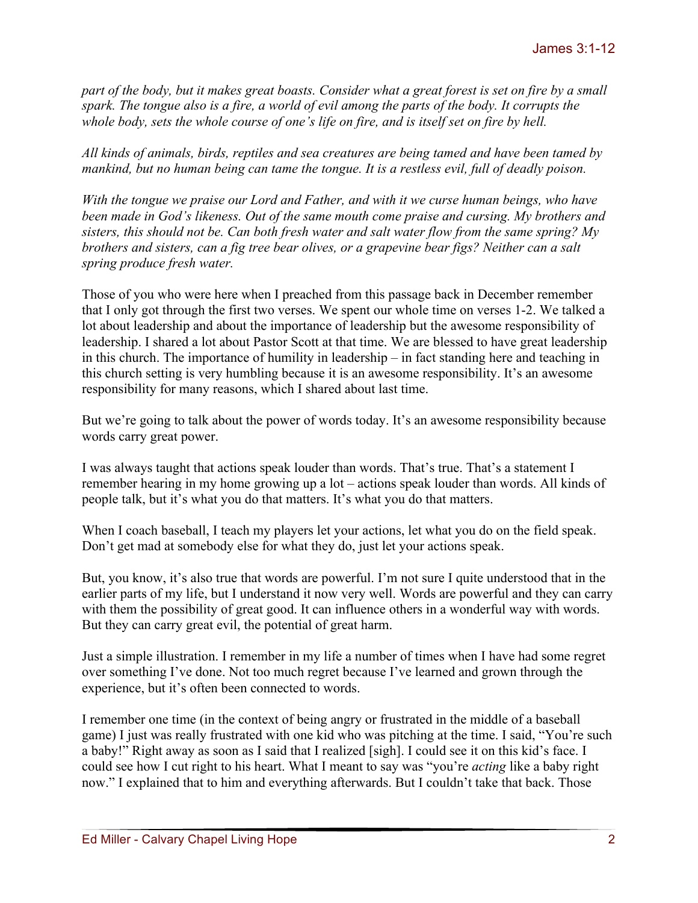*part of the body, but it makes great boasts. Consider what a great forest is set on fire by a small spark. The tongue also is a fire, a world of evil among the parts of the body. It corrupts the whole body, sets the whole course of one's life on fire, and is itself set on fire by hell.*

*All kinds of animals, birds, reptiles and sea creatures are being tamed and have been tamed by mankind, but no human being can tame the tongue. It is a restless evil, full of deadly poison.*

*With the tongue we praise our Lord and Father, and with it we curse human beings, who have been made in God's likeness. Out of the same mouth come praise and cursing. My brothers and sisters, this should not be. Can both fresh water and salt water flow from the same spring? My brothers and sisters, can a fig tree bear olives, or a grapevine bear figs? Neither can a salt spring produce fresh water.*

Those of you who were here when I preached from this passage back in December remember that I only got through the first two verses. We spent our whole time on verses 1-2. We talked a lot about leadership and about the importance of leadership but the awesome responsibility of leadership. I shared a lot about Pastor Scott at that time. We are blessed to have great leadership in this church. The importance of humility in leadership – in fact standing here and teaching in this church setting is very humbling because it is an awesome responsibility. It's an awesome responsibility for many reasons, which I shared about last time.

But we're going to talk about the power of words today. It's an awesome responsibility because words carry great power.

I was always taught that actions speak louder than words. That's true. That's a statement I remember hearing in my home growing up a lot – actions speak louder than words. All kinds of people talk, but it's what you do that matters. It's what you do that matters.

When I coach baseball, I teach my players let your actions, let what you do on the field speak. Don't get mad at somebody else for what they do, just let your actions speak.

But, you know, it's also true that words are powerful. I'm not sure I quite understood that in the earlier parts of my life, but I understand it now very well. Words are powerful and they can carry with them the possibility of great good. It can influence others in a wonderful way with words. But they can carry great evil, the potential of great harm.

Just a simple illustration. I remember in my life a number of times when I have had some regret over something I've done. Not too much regret because I've learned and grown through the experience, but it's often been connected to words.

I remember one time (in the context of being angry or frustrated in the middle of a baseball game) I just was really frustrated with one kid who was pitching at the time. I said, "You're such a baby!" Right away as soon as I said that I realized [sigh]. I could see it on this kid's face. I could see how I cut right to his heart. What I meant to say was "you're *acting* like a baby right now." I explained that to him and everything afterwards. But I couldn't take that back. Those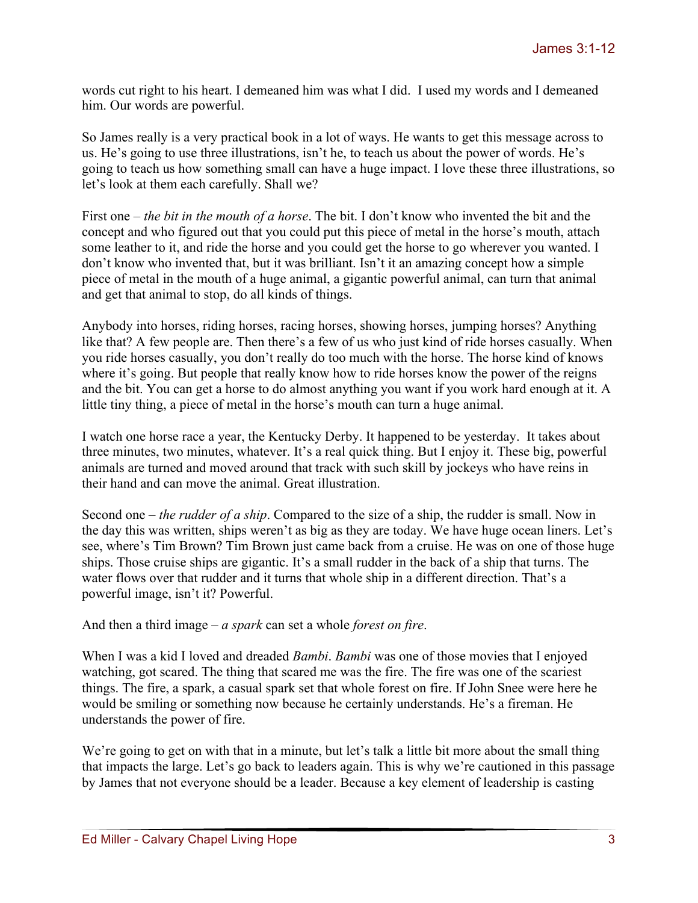words cut right to his heart. I demeaned him was what I did. I used my words and I demeaned him. Our words are powerful.

So James really is a very practical book in a lot of ways. He wants to get this message across to us. He's going to use three illustrations, isn't he, to teach us about the power of words. He's going to teach us how something small can have a huge impact. I love these three illustrations, so let's look at them each carefully. Shall we?

First one – *the bit in the mouth of a horse*. The bit. I don't know who invented the bit and the concept and who figured out that you could put this piece of metal in the horse's mouth, attach some leather to it, and ride the horse and you could get the horse to go wherever you wanted. I don't know who invented that, but it was brilliant. Isn't it an amazing concept how a simple piece of metal in the mouth of a huge animal, a gigantic powerful animal, can turn that animal and get that animal to stop, do all kinds of things.

Anybody into horses, riding horses, racing horses, showing horses, jumping horses? Anything like that? A few people are. Then there's a few of us who just kind of ride horses casually. When you ride horses casually, you don't really do too much with the horse. The horse kind of knows where it's going. But people that really know how to ride horses know the power of the reigns and the bit. You can get a horse to do almost anything you want if you work hard enough at it. A little tiny thing, a piece of metal in the horse's mouth can turn a huge animal.

I watch one horse race a year, the Kentucky Derby. It happened to be yesterday. It takes about three minutes, two minutes, whatever. It's a real quick thing. But I enjoy it. These big, powerful animals are turned and moved around that track with such skill by jockeys who have reins in their hand and can move the animal. Great illustration.

Second one – *the rudder of a ship*. Compared to the size of a ship, the rudder is small. Now in the day this was written, ships weren't as big as they are today. We have huge ocean liners. Let's see, where's Tim Brown? Tim Brown just came back from a cruise. He was on one of those huge ships. Those cruise ships are gigantic. It's a small rudder in the back of a ship that turns. The water flows over that rudder and it turns that whole ship in a different direction. That's a powerful image, isn't it? Powerful.

And then a third image – *a spark* can set a whole *forest on fire*.

When I was a kid I loved and dreaded *Bambi*. *Bambi* was one of those movies that I enjoyed watching, got scared. The thing that scared me was the fire. The fire was one of the scariest things. The fire, a spark, a casual spark set that whole forest on fire. If John Snee were here he would be smiling or something now because he certainly understands. He's a fireman. He understands the power of fire.

We're going to get on with that in a minute, but let's talk a little bit more about the small thing that impacts the large. Let's go back to leaders again. This is why we're cautioned in this passage by James that not everyone should be a leader. Because a key element of leadership is casting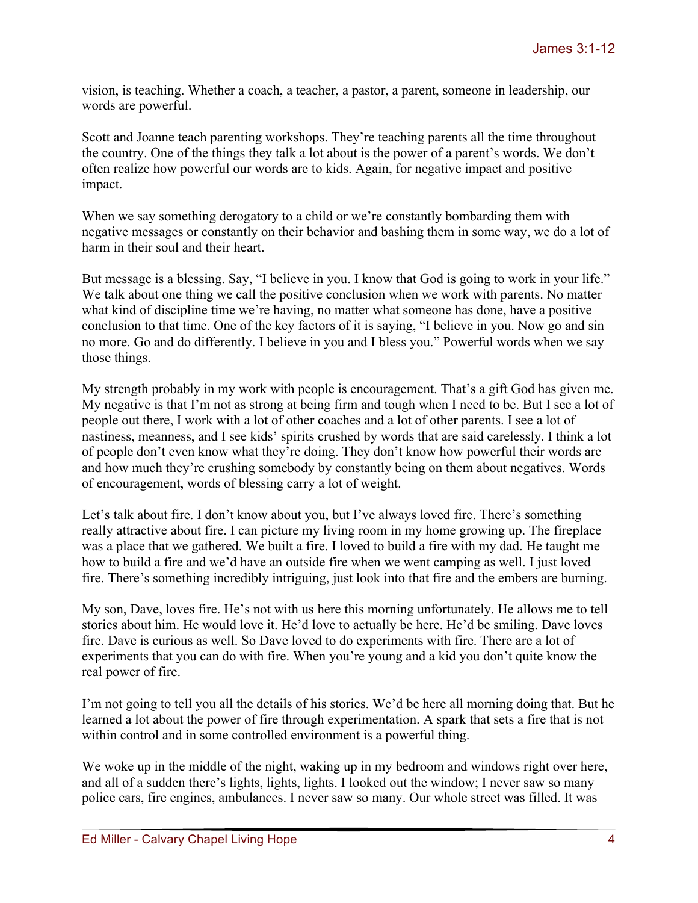vision, is teaching. Whether a coach, a teacher, a pastor, a parent, someone in leadership, our words are powerful.

Scott and Joanne teach parenting workshops. They're teaching parents all the time throughout the country. One of the things they talk a lot about is the power of a parent's words. We don't often realize how powerful our words are to kids. Again, for negative impact and positive impact.

When we say something derogatory to a child or we're constantly bombarding them with negative messages or constantly on their behavior and bashing them in some way, we do a lot of harm in their soul and their heart.

But message is a blessing. Say, "I believe in you. I know that God is going to work in your life." We talk about one thing we call the positive conclusion when we work with parents. No matter what kind of discipline time we're having, no matter what someone has done, have a positive conclusion to that time. One of the key factors of it is saying, "I believe in you. Now go and sin no more. Go and do differently. I believe in you and I bless you." Powerful words when we say those things.

My strength probably in my work with people is encouragement. That's a gift God has given me. My negative is that I'm not as strong at being firm and tough when I need to be. But I see a lot of people out there, I work with a lot of other coaches and a lot of other parents. I see a lot of nastiness, meanness, and I see kids' spirits crushed by words that are said carelessly. I think a lot of people don't even know what they're doing. They don't know how powerful their words are and how much they're crushing somebody by constantly being on them about negatives. Words of encouragement, words of blessing carry a lot of weight.

Let's talk about fire. I don't know about you, but I've always loved fire. There's something really attractive about fire. I can picture my living room in my home growing up. The fireplace was a place that we gathered. We built a fire. I loved to build a fire with my dad. He taught me how to build a fire and we'd have an outside fire when we went camping as well. I just loved fire. There's something incredibly intriguing, just look into that fire and the embers are burning.

My son, Dave, loves fire. He's not with us here this morning unfortunately. He allows me to tell stories about him. He would love it. He'd love to actually be here. He'd be smiling. Dave loves fire. Dave is curious as well. So Dave loved to do experiments with fire. There are a lot of experiments that you can do with fire. When you're young and a kid you don't quite know the real power of fire.

I'm not going to tell you all the details of his stories. We'd be here all morning doing that. But he learned a lot about the power of fire through experimentation. A spark that sets a fire that is not within control and in some controlled environment is a powerful thing.

We woke up in the middle of the night, waking up in my bedroom and windows right over here, and all of a sudden there's lights, lights, lights. I looked out the window; I never saw so many police cars, fire engines, ambulances. I never saw so many. Our whole street was filled. It was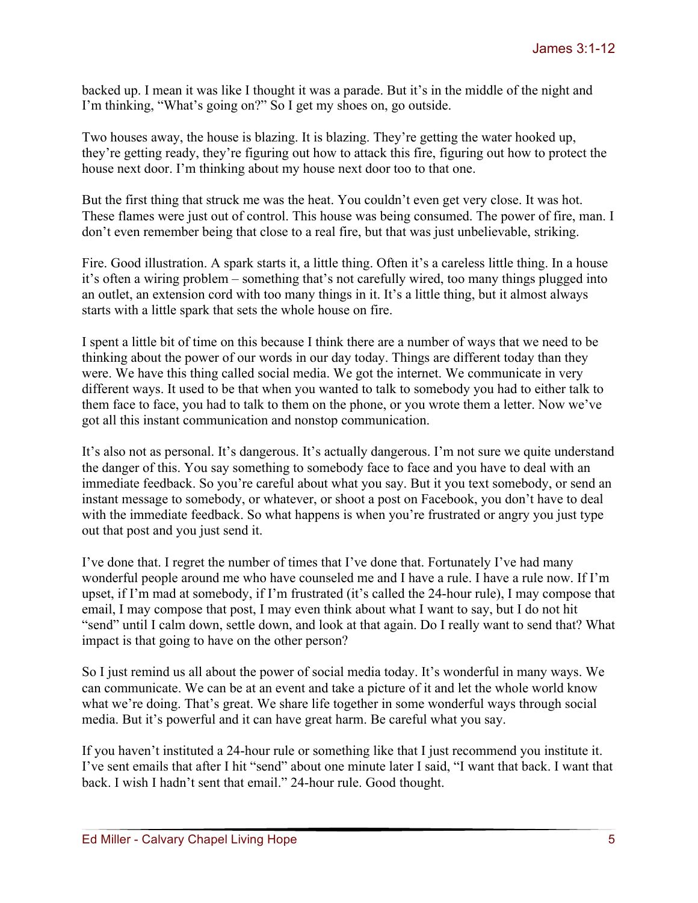backed up. I mean it was like I thought it was a parade. But it's in the middle of the night and I'm thinking, "What's going on?" So I get my shoes on, go outside.

Two houses away, the house is blazing. It is blazing. They're getting the water hooked up, they're getting ready, they're figuring out how to attack this fire, figuring out how to protect the house next door. I'm thinking about my house next door too to that one.

But the first thing that struck me was the heat. You couldn't even get very close. It was hot. These flames were just out of control. This house was being consumed. The power of fire, man. I don't even remember being that close to a real fire, but that was just unbelievable, striking.

Fire. Good illustration. A spark starts it, a little thing. Often it's a careless little thing. In a house it's often a wiring problem – something that's not carefully wired, too many things plugged into an outlet, an extension cord with too many things in it. It's a little thing, but it almost always starts with a little spark that sets the whole house on fire.

I spent a little bit of time on this because I think there are a number of ways that we need to be thinking about the power of our words in our day today. Things are different today than they were. We have this thing called social media. We got the internet. We communicate in very different ways. It used to be that when you wanted to talk to somebody you had to either talk to them face to face, you had to talk to them on the phone, or you wrote them a letter. Now we've got all this instant communication and nonstop communication.

It's also not as personal. It's dangerous. It's actually dangerous. I'm not sure we quite understand the danger of this. You say something to somebody face to face and you have to deal with an immediate feedback. So you're careful about what you say. But it you text somebody, or send an instant message to somebody, or whatever, or shoot a post on Facebook, you don't have to deal with the immediate feedback. So what happens is when you're frustrated or angry you just type out that post and you just send it.

I've done that. I regret the number of times that I've done that. Fortunately I've had many wonderful people around me who have counseled me and I have a rule. I have a rule now. If I'm upset, if I'm mad at somebody, if I'm frustrated (it's called the 24-hour rule), I may compose that email, I may compose that post, I may even think about what I want to say, but I do not hit "send" until I calm down, settle down, and look at that again. Do I really want to send that? What impact is that going to have on the other person?

So I just remind us all about the power of social media today. It's wonderful in many ways. We can communicate. We can be at an event and take a picture of it and let the whole world know what we're doing. That's great. We share life together in some wonderful ways through social media. But it's powerful and it can have great harm. Be careful what you say.

If you haven't instituted a 24-hour rule or something like that I just recommend you institute it. I've sent emails that after I hit "send" about one minute later I said, "I want that back. I want that back. I wish I hadn't sent that email." 24-hour rule. Good thought.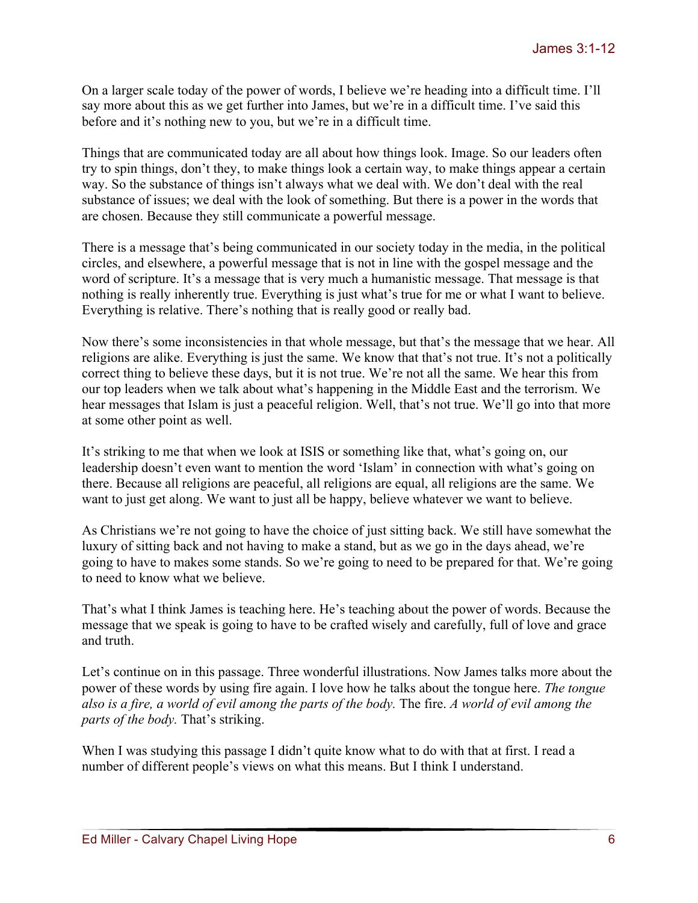On a larger scale today of the power of words, I believe we're heading into a difficult time. I'll say more about this as we get further into James, but we're in a difficult time. I've said this before and it's nothing new to you, but we're in a difficult time.

Things that are communicated today are all about how things look. Image. So our leaders often try to spin things, don't they, to make things look a certain way, to make things appear a certain way. So the substance of things isn't always what we deal with. We don't deal with the real substance of issues; we deal with the look of something. But there is a power in the words that are chosen. Because they still communicate a powerful message.

There is a message that's being communicated in our society today in the media, in the political circles, and elsewhere, a powerful message that is not in line with the gospel message and the word of scripture. It's a message that is very much a humanistic message. That message is that nothing is really inherently true. Everything is just what's true for me or what I want to believe. Everything is relative. There's nothing that is really good or really bad.

Now there's some inconsistencies in that whole message, but that's the message that we hear. All religions are alike. Everything is just the same. We know that that's not true. It's not a politically correct thing to believe these days, but it is not true. We're not all the same. We hear this from our top leaders when we talk about what's happening in the Middle East and the terrorism. We hear messages that Islam is just a peaceful religion. Well, that's not true. We'll go into that more at some other point as well.

It's striking to me that when we look at ISIS or something like that, what's going on, our leadership doesn't even want to mention the word 'Islam' in connection with what's going on there. Because all religions are peaceful, all religions are equal, all religions are the same. We want to just get along. We want to just all be happy, believe whatever we want to believe.

As Christians we're not going to have the choice of just sitting back. We still have somewhat the luxury of sitting back and not having to make a stand, but as we go in the days ahead, we're going to have to makes some stands. So we're going to need to be prepared for that. We're going to need to know what we believe.

That's what I think James is teaching here. He's teaching about the power of words. Because the message that we speak is going to have to be crafted wisely and carefully, full of love and grace and truth.

Let's continue on in this passage. Three wonderful illustrations. Now James talks more about the power of these words by using fire again. I love how he talks about the tongue here. *The tongue also is a fire, a world of evil among the parts of the body.* The fire. *A world of evil among the parts of the body.* That's striking.

When I was studying this passage I didn't quite know what to do with that at first. I read a number of different people's views on what this means. But I think I understand.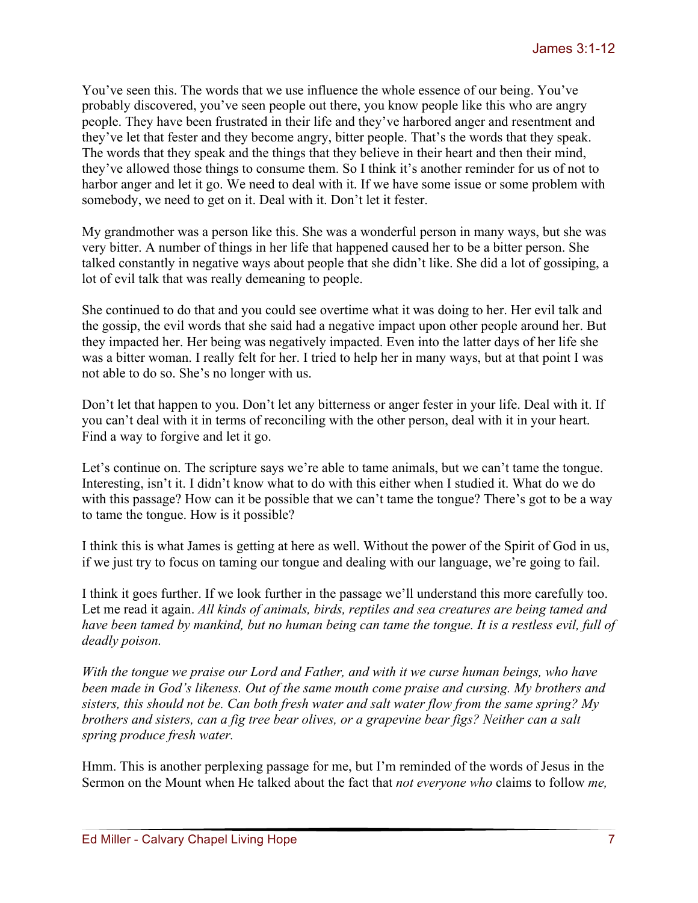You've seen this. The words that we use influence the whole essence of our being. You've probably discovered, you've seen people out there, you know people like this who are angry people. They have been frustrated in their life and they've harbored anger and resentment and they've let that fester and they become angry, bitter people. That's the words that they speak. The words that they speak and the things that they believe in their heart and then their mind, they've allowed those things to consume them. So I think it's another reminder for us of not to harbor anger and let it go. We need to deal with it. If we have some issue or some problem with somebody, we need to get on it. Deal with it. Don't let it fester.

My grandmother was a person like this. She was a wonderful person in many ways, but she was very bitter. A number of things in her life that happened caused her to be a bitter person. She talked constantly in negative ways about people that she didn't like. She did a lot of gossiping, a lot of evil talk that was really demeaning to people.

She continued to do that and you could see overtime what it was doing to her. Her evil talk and the gossip, the evil words that she said had a negative impact upon other people around her. But they impacted her. Her being was negatively impacted. Even into the latter days of her life she was a bitter woman. I really felt for her. I tried to help her in many ways, but at that point I was not able to do so. She's no longer with us.

Don't let that happen to you. Don't let any bitterness or anger fester in your life. Deal with it. If you can't deal with it in terms of reconciling with the other person, deal with it in your heart. Find a way to forgive and let it go.

Let's continue on. The scripture says we're able to tame animals, but we can't tame the tongue. Interesting, isn't it. I didn't know what to do with this either when I studied it. What do we do with this passage? How can it be possible that we can't tame the tongue? There's got to be a way to tame the tongue. How is it possible?

I think this is what James is getting at here as well. Without the power of the Spirit of God in us, if we just try to focus on taming our tongue and dealing with our language, we're going to fail.

I think it goes further. If we look further in the passage we'll understand this more carefully too. Let me read it again. *All kinds of animals, birds, reptiles and sea creatures are being tamed and have been tamed by mankind, but no human being can tame the tongue. It is a restless evil, full of deadly poison.*

*With the tongue we praise our Lord and Father, and with it we curse human beings, who have been made in God's likeness. Out of the same mouth come praise and cursing. My brothers and sisters, this should not be. Can both fresh water and salt water flow from the same spring? My brothers and sisters, can a fig tree bear olives, or a grapevine bear figs? Neither can a salt spring produce fresh water.*

Hmm. This is another perplexing passage for me, but I'm reminded of the words of Jesus in the Sermon on the Mount when He talked about the fact that *not everyone who* claims to follow *me,*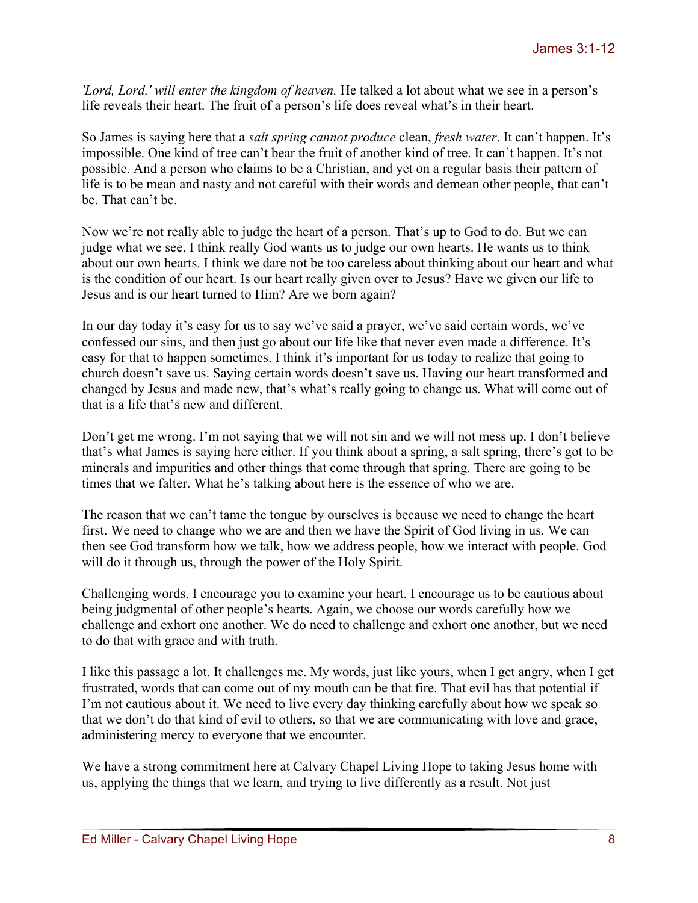*'Lord, Lord,' will enter the kingdom of heaven.* He talked a lot about what we see in a person's life reveals their heart. The fruit of a person's life does reveal what's in their heart.

So James is saying here that a *salt spring cannot produce* clean, *fresh water*. It can't happen. It's impossible. One kind of tree can't bear the fruit of another kind of tree. It can't happen. It's not possible. And a person who claims to be a Christian, and yet on a regular basis their pattern of life is to be mean and nasty and not careful with their words and demean other people, that can't be. That can't be.

Now we're not really able to judge the heart of a person. That's up to God to do. But we can judge what we see. I think really God wants us to judge our own hearts. He wants us to think about our own hearts. I think we dare not be too careless about thinking about our heart and what is the condition of our heart. Is our heart really given over to Jesus? Have we given our life to Jesus and is our heart turned to Him? Are we born again?

In our day today it's easy for us to say we've said a prayer, we've said certain words, we've confessed our sins, and then just go about our life like that never even made a difference. It's easy for that to happen sometimes. I think it's important for us today to realize that going to church doesn't save us. Saying certain words doesn't save us. Having our heart transformed and changed by Jesus and made new, that's what's really going to change us. What will come out of that is a life that's new and different.

Don't get me wrong. I'm not saying that we will not sin and we will not mess up. I don't believe that's what James is saying here either. If you think about a spring, a salt spring, there's got to be minerals and impurities and other things that come through that spring. There are going to be times that we falter. What he's talking about here is the essence of who we are.

The reason that we can't tame the tongue by ourselves is because we need to change the heart first. We need to change who we are and then we have the Spirit of God living in us. We can then see God transform how we talk, how we address people, how we interact with people. God will do it through us, through the power of the Holy Spirit.

Challenging words. I encourage you to examine your heart. I encourage us to be cautious about being judgmental of other people's hearts. Again, we choose our words carefully how we challenge and exhort one another. We do need to challenge and exhort one another, but we need to do that with grace and with truth.

I like this passage a lot. It challenges me. My words, just like yours, when I get angry, when I get frustrated, words that can come out of my mouth can be that fire. That evil has that potential if I'm not cautious about it. We need to live every day thinking carefully about how we speak so that we don't do that kind of evil to others, so that we are communicating with love and grace, administering mercy to everyone that we encounter.

We have a strong commitment here at Calvary Chapel Living Hope to taking Jesus home with us, applying the things that we learn, and trying to live differently as a result. Not just